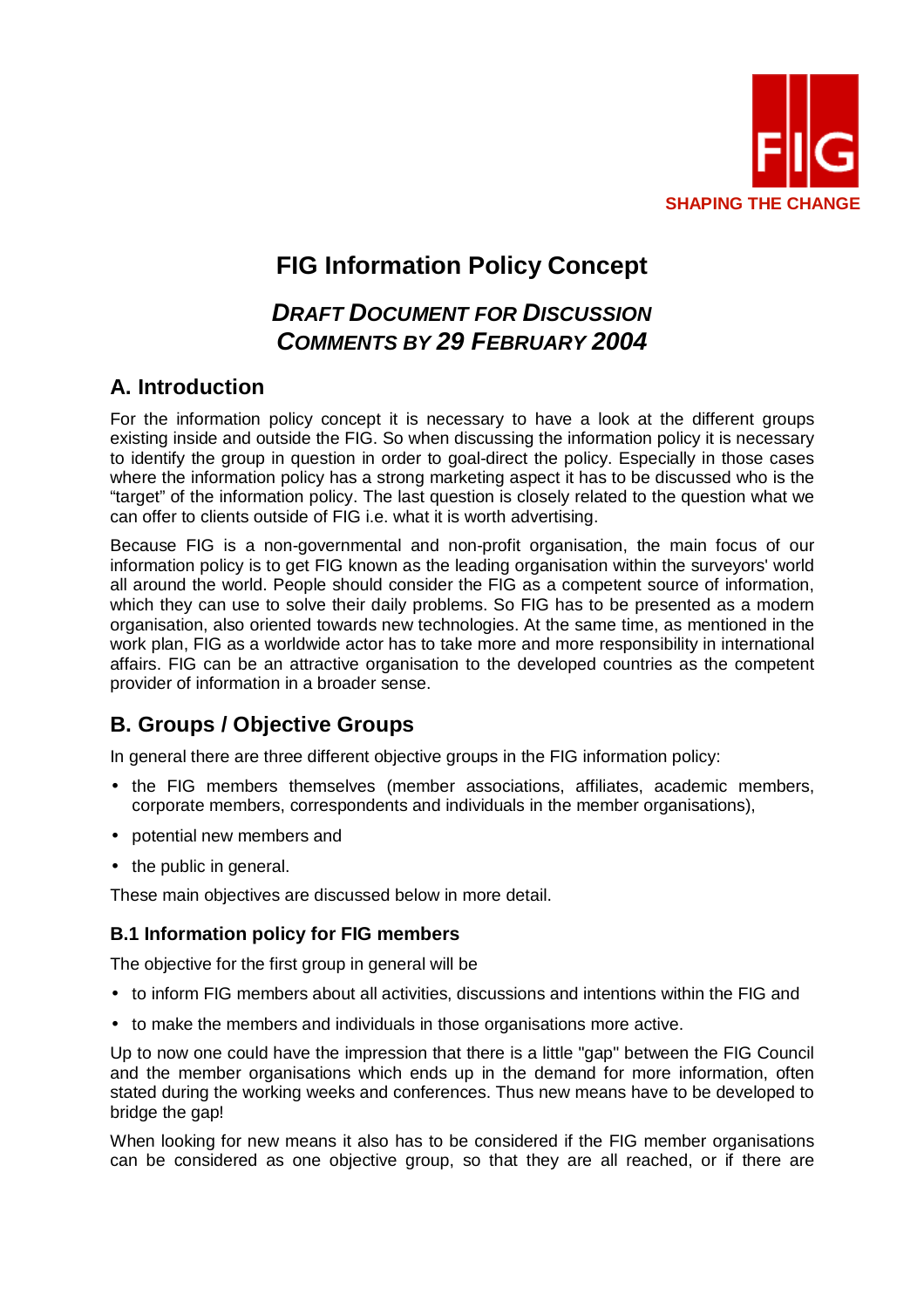

# **FIG Information Policy Concept**

# **DRAFT DOCUMENT FOR DISCUSSION COMMENTS BY 29 FEBRUARY 2004**

### **A. Introduction**

For the information policy concept it is necessary to have a look at the different groups existing inside and outside the FIG. So when discussing the information policy it is necessary to identify the group in question in order to goal-direct the policy. Especially in those cases where the information policy has a strong marketing aspect it has to be discussed who is the "target" of the information policy. The last question is closely related to the question what we can offer to clients outside of FIG i.e. what it is worth advertising.

Because FIG is a non-governmental and non-profit organisation, the main focus of our information policy is to get FIG known as the leading organisation within the surveyors' world all around the world. People should consider the FIG as a competent source of information, which they can use to solve their daily problems. So FIG has to be presented as a modern organisation, also oriented towards new technologies. At the same time, as mentioned in the work plan, FIG as a worldwide actor has to take more and more responsibility in international affairs. FIG can be an attractive organisation to the developed countries as the competent provider of information in a broader sense.

## **B. Groups / Objective Groups**

In general there are three different objective groups in the FIG information policy:

- the FIG members themselves (member associations, affiliates, academic members, corporate members, correspondents and individuals in the member organisations),
- potential new members and
- the public in general.

These main objectives are discussed below in more detail.

### **B.1 Information policy for FIG members**

The objective for the first group in general will be

- to inform FIG members about all activities, discussions and intentions within the FIG and
- to make the members and individuals in those organisations more active.

Up to now one could have the impression that there is a little "gap" between the FIG Council and the member organisations which ends up in the demand for more information, often stated during the working weeks and conferences. Thus new means have to be developed to bridge the gap!

When looking for new means it also has to be considered if the FIG member organisations can be considered as one objective group, so that they are all reached, or if there are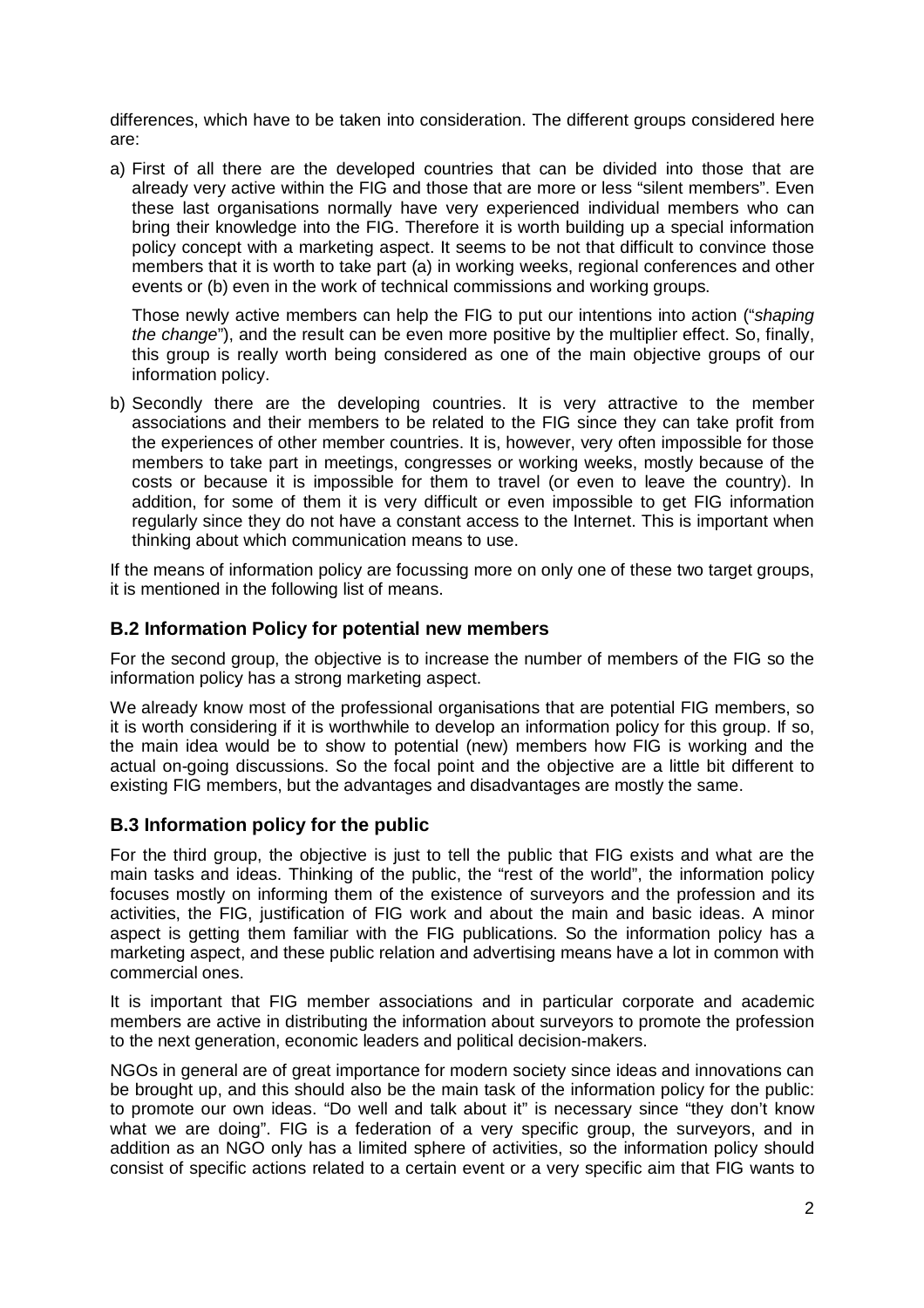differences, which have to be taken into consideration. The different groups considered here are:

a) First of all there are the developed countries that can be divided into those that are already very active within the FIG and those that are more or less "silent members". Even these last organisations normally have very experienced individual members who can bring their knowledge into the FIG. Therefore it is worth building up a special information policy concept with a marketing aspect. It seems to be not that difficult to convince those members that it is worth to take part (a) in working weeks, regional conferences and other events or (b) even in the work of technical commissions and working groups.

Those newly active members can help the FIG to put our intentions into action ("shaping the change"), and the result can be even more positive by the multiplier effect. So, finally, this group is really worth being considered as one of the main objective groups of our information policy.

b) Secondly there are the developing countries. It is very attractive to the member associations and their members to be related to the FIG since they can take profit from the experiences of other member countries. It is, however, very often impossible for those members to take part in meetings, congresses or working weeks, mostly because of the costs or because it is impossible for them to travel (or even to leave the country). In addition, for some of them it is very difficult or even impossible to get FIG information regularly since they do not have a constant access to the Internet. This is important when thinking about which communication means to use.

If the means of information policy are focussing more on only one of these two target groups, it is mentioned in the following list of means.

#### **B.2 Information Policy for potential new members**

For the second group, the objective is to increase the number of members of the FIG so the information policy has a strong marketing aspect.

We already know most of the professional organisations that are potential FIG members, so it is worth considering if it is worthwhile to develop an information policy for this group. If so, the main idea would be to show to potential (new) members how FIG is working and the actual on-going discussions. So the focal point and the objective are a little bit different to existing FIG members, but the advantages and disadvantages are mostly the same.

#### **B.3 Information policy for the public**

For the third group, the objective is just to tell the public that FIG exists and what are the main tasks and ideas. Thinking of the public, the "rest of the world", the information policy focuses mostly on informing them of the existence of surveyors and the profession and its activities, the FIG, justification of FIG work and about the main and basic ideas. A minor aspect is getting them familiar with the FIG publications. So the information policy has a marketing aspect, and these public relation and advertising means have a lot in common with commercial ones.

It is important that FIG member associations and in particular corporate and academic members are active in distributing the information about surveyors to promote the profession to the next generation, economic leaders and political decision-makers.

NGOs in general are of great importance for modern society since ideas and innovations can be brought up, and this should also be the main task of the information policy for the public: to promote our own ideas. "Do well and talk about it" is necessary since "they don't know what we are doing". FIG is a federation of a very specific group, the surveyors, and in addition as an NGO only has a limited sphere of activities, so the information policy should consist of specific actions related to a certain event or a very specific aim that FIG wants to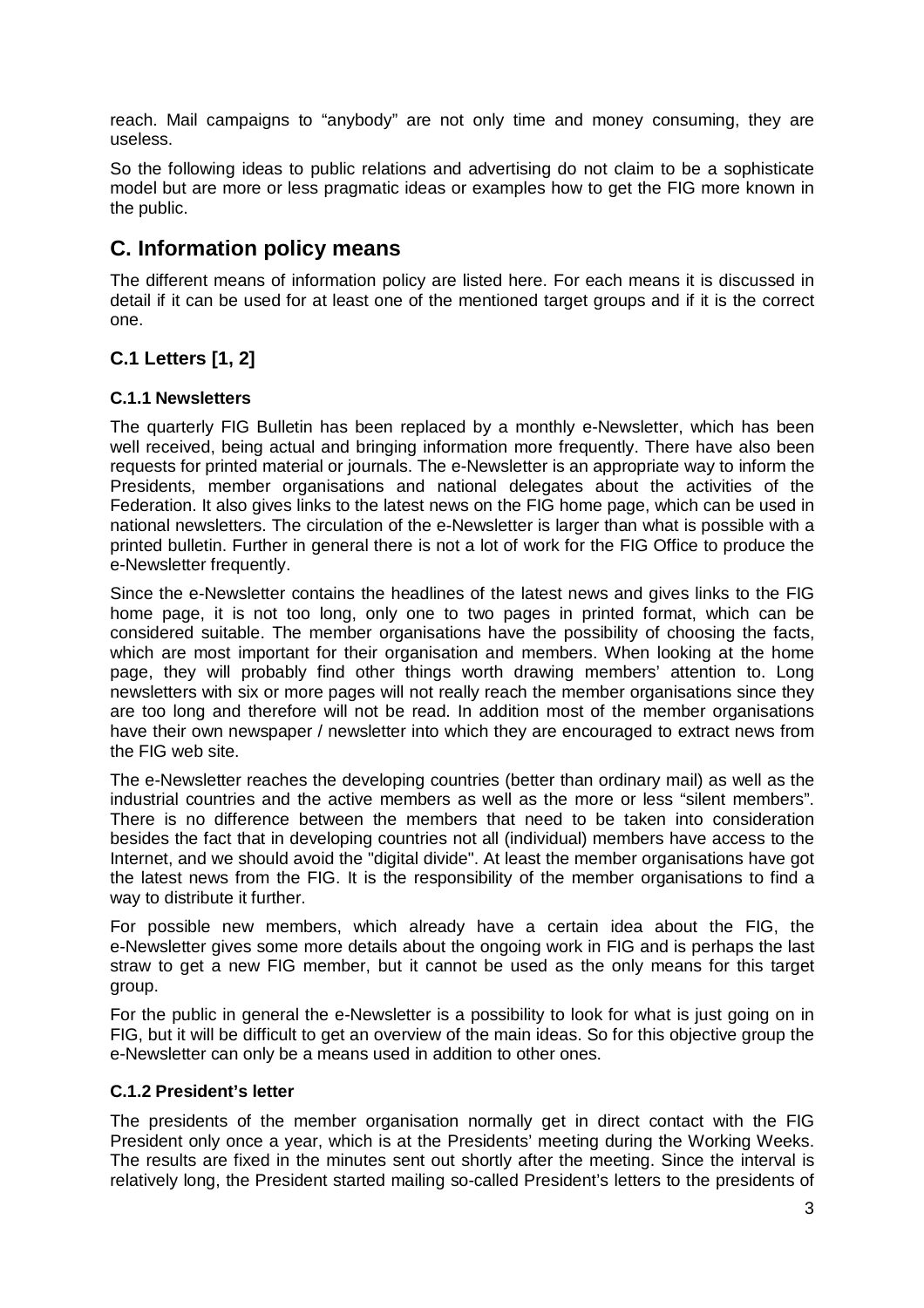reach. Mail campaigns to "anybody" are not only time and money consuming, they are useless.

So the following ideas to public relations and advertising do not claim to be a sophisticate model but are more or less pragmatic ideas or examples how to get the FIG more known in the public.

### **C. Information policy means**

The different means of information policy are listed here. For each means it is discussed in detail if it can be used for at least one of the mentioned target groups and if it is the correct one.

### **C.1 Letters [1, 2]**

#### **C.1.1 Newsletters**

The quarterly FIG Bulletin has been replaced by a monthly e-Newsletter, which has been well received, being actual and bringing information more frequently. There have also been requests for printed material or journals. The e-Newsletter is an appropriate way to inform the Presidents, member organisations and national delegates about the activities of the Federation. It also gives links to the latest news on the FIG home page, which can be used in national newsletters. The circulation of the e-Newsletter is larger than what is possible with a printed bulletin. Further in general there is not a lot of work for the FIG Office to produce the e-Newsletter frequently.

Since the e-Newsletter contains the headlines of the latest news and gives links to the FIG home page, it is not too long, only one to two pages in printed format, which can be considered suitable. The member organisations have the possibility of choosing the facts, which are most important for their organisation and members. When looking at the home page, they will probably find other things worth drawing members' attention to. Long newsletters with six or more pages will not really reach the member organisations since they are too long and therefore will not be read. In addition most of the member organisations have their own newspaper / newsletter into which they are encouraged to extract news from the FIG web site.

The e-Newsletter reaches the developing countries (better than ordinary mail) as well as the industrial countries and the active members as well as the more or less "silent members". There is no difference between the members that need to be taken into consideration besides the fact that in developing countries not all (individual) members have access to the Internet, and we should avoid the "digital divide". At least the member organisations have got the latest news from the FIG. It is the responsibility of the member organisations to find a way to distribute it further.

For possible new members, which already have a certain idea about the FIG, the e-Newsletter gives some more details about the ongoing work in FIG and is perhaps the last straw to get a new FIG member, but it cannot be used as the only means for this target group.

For the public in general the e-Newsletter is a possibility to look for what is just going on in FIG, but it will be difficult to get an overview of the main ideas. So for this objective group the e-Newsletter can only be a means used in addition to other ones.

#### **C.1.2 President's letter**

The presidents of the member organisation normally get in direct contact with the FIG President only once a year, which is at the Presidents' meeting during the Working Weeks. The results are fixed in the minutes sent out shortly after the meeting. Since the interval is relatively long, the President started mailing so-called President's letters to the presidents of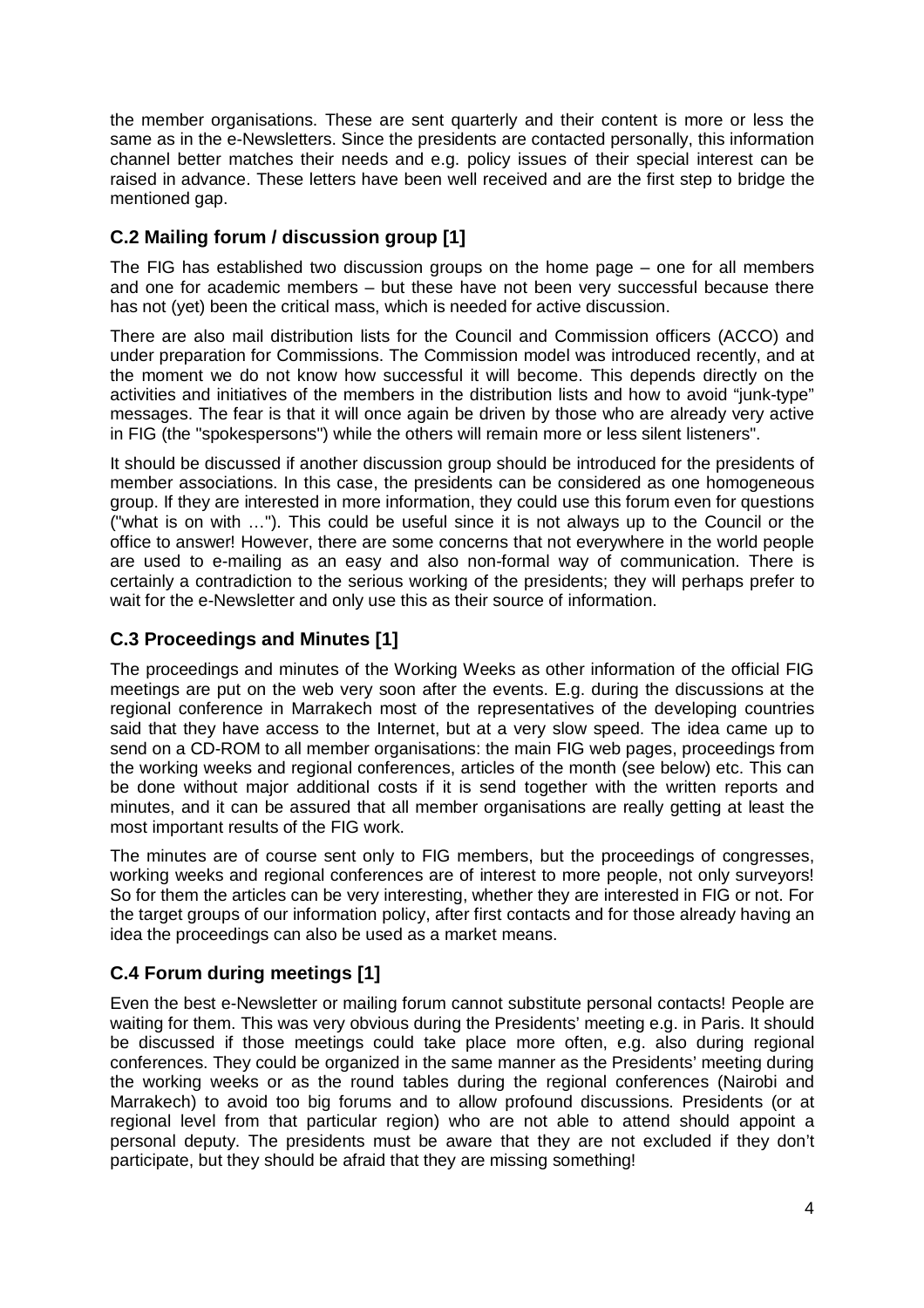the member organisations. These are sent quarterly and their content is more or less the same as in the e-Newsletters. Since the presidents are contacted personally, this information channel better matches their needs and e.g. policy issues of their special interest can be raised in advance. These letters have been well received and are the first step to bridge the mentioned gap.

### **C.2 Mailing forum / discussion group [1]**

The FIG has established two discussion groups on the home page – one for all members and one for academic members – but these have not been very successful because there has not (yet) been the critical mass, which is needed for active discussion.

There are also mail distribution lists for the Council and Commission officers (ACCO) and under preparation for Commissions. The Commission model was introduced recently, and at the moment we do not know how successful it will become. This depends directly on the activities and initiatives of the members in the distribution lists and how to avoid "junk-type" messages. The fear is that it will once again be driven by those who are already very active in FIG (the "spokespersons") while the others will remain more or less silent listeners".

It should be discussed if another discussion group should be introduced for the presidents of member associations. In this case, the presidents can be considered as one homogeneous group. If they are interested in more information, they could use this forum even for questions ("what is on with …"). This could be useful since it is not always up to the Council or the office to answer! However, there are some concerns that not everywhere in the world people are used to e-mailing as an easy and also non-formal way of communication. There is certainly a contradiction to the serious working of the presidents; they will perhaps prefer to wait for the e-Newsletter and only use this as their source of information.

### **C.3 Proceedings and Minutes [1]**

The proceedings and minutes of the Working Weeks as other information of the official FIG meetings are put on the web very soon after the events. E.g. during the discussions at the regional conference in Marrakech most of the representatives of the developing countries said that they have access to the Internet, but at a very slow speed. The idea came up to send on a CD-ROM to all member organisations: the main FIG web pages, proceedings from the working weeks and regional conferences, articles of the month (see below) etc. This can be done without major additional costs if it is send together with the written reports and minutes, and it can be assured that all member organisations are really getting at least the most important results of the FIG work.

The minutes are of course sent only to FIG members, but the proceedings of congresses, working weeks and regional conferences are of interest to more people, not only surveyors! So for them the articles can be very interesting, whether they are interested in FIG or not. For the target groups of our information policy, after first contacts and for those already having an idea the proceedings can also be used as a market means.

### **C.4 Forum during meetings [1]**

Even the best e-Newsletter or mailing forum cannot substitute personal contacts! People are waiting for them. This was very obvious during the Presidents' meeting e.g. in Paris. It should be discussed if those meetings could take place more often, e.g. also during regional conferences. They could be organized in the same manner as the Presidents' meeting during the working weeks or as the round tables during the regional conferences (Nairobi and Marrakech) to avoid too big forums and to allow profound discussions. Presidents (or at regional level from that particular region) who are not able to attend should appoint a personal deputy. The presidents must be aware that they are not excluded if they don't participate, but they should be afraid that they are missing something!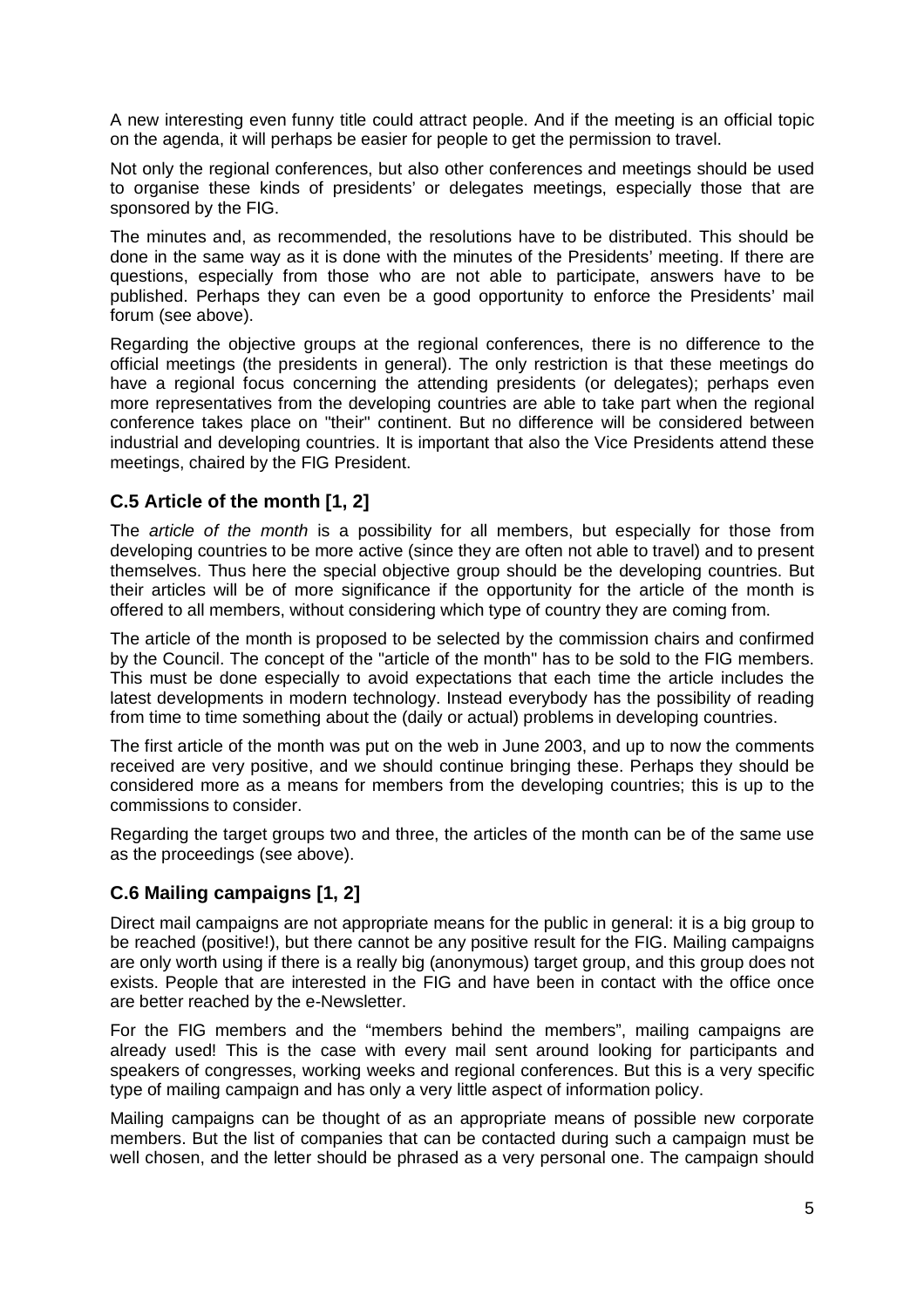A new interesting even funny title could attract people. And if the meeting is an official topic on the agenda, it will perhaps be easier for people to get the permission to travel.

Not only the regional conferences, but also other conferences and meetings should be used to organise these kinds of presidents' or delegates meetings, especially those that are sponsored by the FIG.

The minutes and, as recommended, the resolutions have to be distributed. This should be done in the same way as it is done with the minutes of the Presidents' meeting. If there are questions, especially from those who are not able to participate, answers have to be published. Perhaps they can even be a good opportunity to enforce the Presidents' mail forum (see above).

Regarding the objective groups at the regional conferences, there is no difference to the official meetings (the presidents in general). The only restriction is that these meetings do have a regional focus concerning the attending presidents (or delegates); perhaps even more representatives from the developing countries are able to take part when the regional conference takes place on "their" continent. But no difference will be considered between industrial and developing countries. It is important that also the Vice Presidents attend these meetings, chaired by the FIG President.

#### **C.5 Article of the month [1, 2]**

The *article of the month* is a possibility for all members, but especially for those from developing countries to be more active (since they are often not able to travel) and to present themselves. Thus here the special objective group should be the developing countries. But their articles will be of more significance if the opportunity for the article of the month is offered to all members, without considering which type of country they are coming from.

The article of the month is proposed to be selected by the commission chairs and confirmed by the Council. The concept of the "article of the month" has to be sold to the FIG members. This must be done especially to avoid expectations that each time the article includes the latest developments in modern technology. Instead everybody has the possibility of reading from time to time something about the (daily or actual) problems in developing countries.

The first article of the month was put on the web in June 2003, and up to now the comments received are very positive, and we should continue bringing these. Perhaps they should be considered more as a means for members from the developing countries; this is up to the commissions to consider.

Regarding the target groups two and three, the articles of the month can be of the same use as the proceedings (see above).

### **C.6 Mailing campaigns [1, 2]**

Direct mail campaigns are not appropriate means for the public in general: it is a big group to be reached (positive!), but there cannot be any positive result for the FIG. Mailing campaigns are only worth using if there is a really big (anonymous) target group, and this group does not exists. People that are interested in the FIG and have been in contact with the office once are better reached by the e-Newsletter.

For the FIG members and the "members behind the members", mailing campaigns are already used! This is the case with every mail sent around looking for participants and speakers of congresses, working weeks and regional conferences. But this is a very specific type of mailing campaign and has only a very little aspect of information policy.

Mailing campaigns can be thought of as an appropriate means of possible new corporate members. But the list of companies that can be contacted during such a campaign must be well chosen, and the letter should be phrased as a very personal one. The campaign should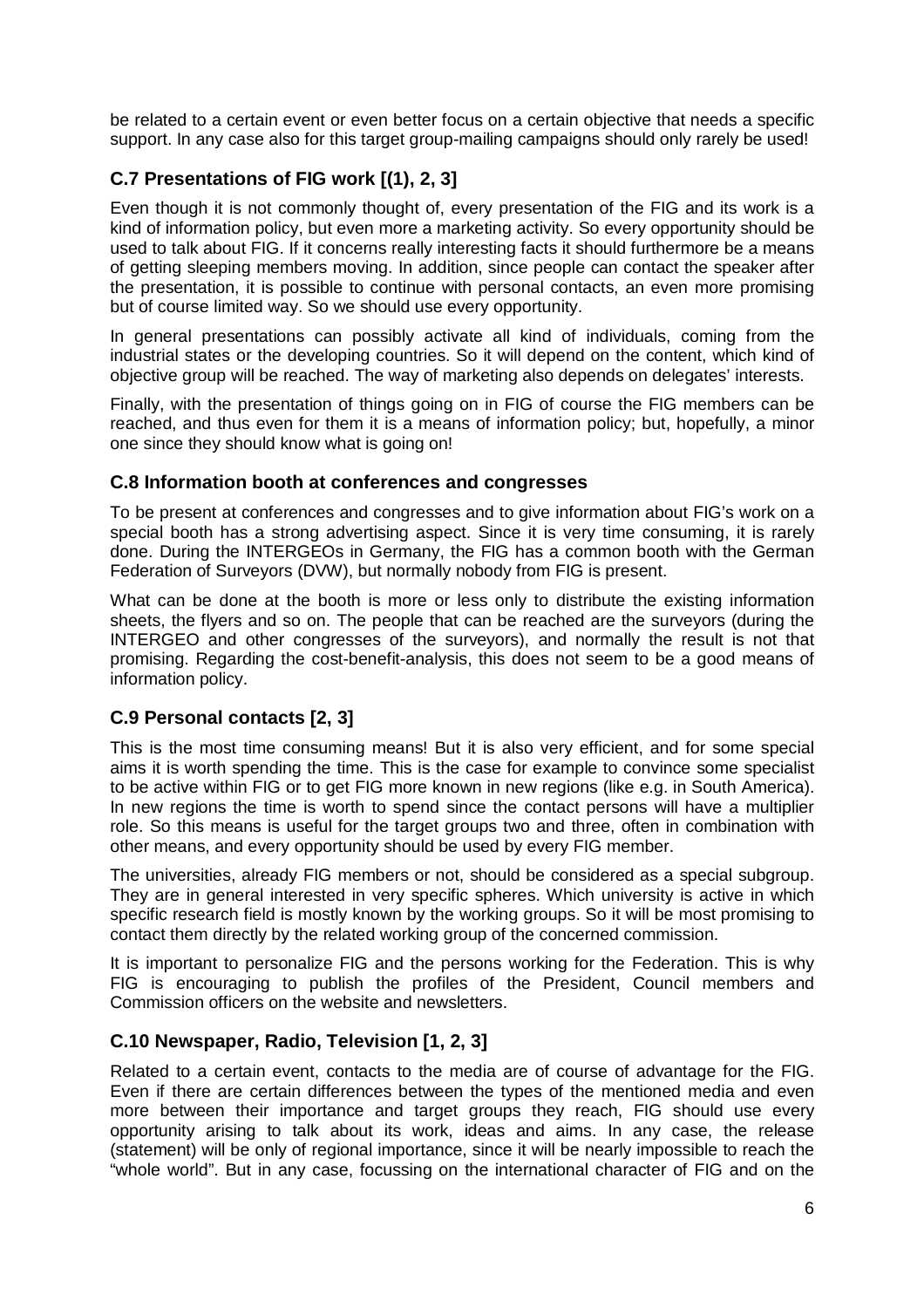be related to a certain event or even better focus on a certain objective that needs a specific support. In any case also for this target group-mailing campaigns should only rarely be used!

### **C.7 Presentations of FIG work [(1), 2, 3]**

Even though it is not commonly thought of, every presentation of the FIG and its work is a kind of information policy, but even more a marketing activity. So every opportunity should be used to talk about FIG. If it concerns really interesting facts it should furthermore be a means of getting sleeping members moving. In addition, since people can contact the speaker after the presentation, it is possible to continue with personal contacts, an even more promising but of course limited way. So we should use every opportunity.

In general presentations can possibly activate all kind of individuals, coming from the industrial states or the developing countries. So it will depend on the content, which kind of objective group will be reached. The way of marketing also depends on delegates' interests.

Finally, with the presentation of things going on in FIG of course the FIG members can be reached, and thus even for them it is a means of information policy; but, hopefully, a minor one since they should know what is going on!

#### **C.8 Information booth at conferences and congresses**

To be present at conferences and congresses and to give information about FIG's work on a special booth has a strong advertising aspect. Since it is very time consuming, it is rarely done. During the INTERGEOs in Germany, the FIG has a common booth with the German Federation of Surveyors (DVW), but normally nobody from FIG is present.

What can be done at the booth is more or less only to distribute the existing information sheets, the flyers and so on. The people that can be reached are the surveyors (during the INTERGEO and other congresses of the surveyors), and normally the result is not that promising. Regarding the cost-benefit-analysis, this does not seem to be a good means of information policy.

#### **C.9 Personal contacts [2, 3]**

This is the most time consuming means! But it is also very efficient, and for some special aims it is worth spending the time. This is the case for example to convince some specialist to be active within FIG or to get FIG more known in new regions (like e.g. in South America). In new regions the time is worth to spend since the contact persons will have a multiplier role. So this means is useful for the target groups two and three, often in combination with other means, and every opportunity should be used by every FIG member.

The universities, already FIG members or not, should be considered as a special subgroup. They are in general interested in very specific spheres. Which university is active in which specific research field is mostly known by the working groups. So it will be most promising to contact them directly by the related working group of the concerned commission.

It is important to personalize FIG and the persons working for the Federation. This is why FIG is encouraging to publish the profiles of the President, Council members and Commission officers on the website and newsletters.

#### **C.10 Newspaper, Radio, Television [1, 2, 3]**

Related to a certain event, contacts to the media are of course of advantage for the FIG. Even if there are certain differences between the types of the mentioned media and even more between their importance and target groups they reach, FIG should use every opportunity arising to talk about its work, ideas and aims. In any case, the release (statement) will be only of regional importance, since it will be nearly impossible to reach the "whole world". But in any case, focussing on the international character of FIG and on the